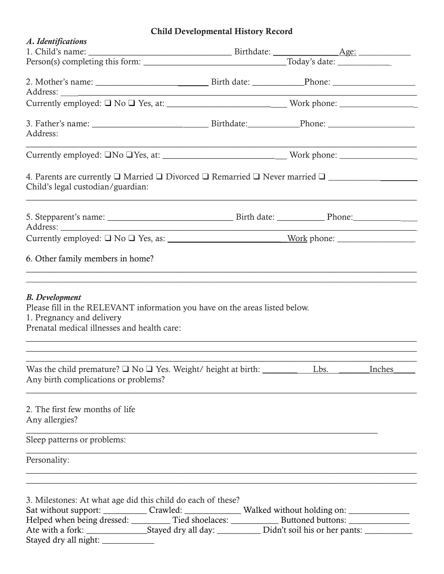# Child Developmental History Record

| A. Identifications                                                                                                                                                                                                                                                                                                                                      |                                                                                                                      |  |
|---------------------------------------------------------------------------------------------------------------------------------------------------------------------------------------------------------------------------------------------------------------------------------------------------------------------------------------------------------|----------------------------------------------------------------------------------------------------------------------|--|
|                                                                                                                                                                                                                                                                                                                                                         |                                                                                                                      |  |
|                                                                                                                                                                                                                                                                                                                                                         |                                                                                                                      |  |
|                                                                                                                                                                                                                                                                                                                                                         |                                                                                                                      |  |
|                                                                                                                                                                                                                                                                                                                                                         |                                                                                                                      |  |
| Address:                                                                                                                                                                                                                                                                                                                                                |                                                                                                                      |  |
|                                                                                                                                                                                                                                                                                                                                                         |                                                                                                                      |  |
| 4. Parents are currently $\Box$ Married $\Box$ Divorced $\Box$ Remarried $\Box$ Never married $\Box$<br>Child's legal custodian/guardian:                                                                                                                                                                                                               |                                                                                                                      |  |
|                                                                                                                                                                                                                                                                                                                                                         |                                                                                                                      |  |
|                                                                                                                                                                                                                                                                                                                                                         |                                                                                                                      |  |
| 6. Other family members in home?                                                                                                                                                                                                                                                                                                                        | <u> 1999 - Jan James James James James James James James James James James James James James James James James J</u> |  |
| <b>B.</b> Development<br>Please fill in the RELEVANT information you have on the areas listed below.<br>1. Pregnancy and delivery<br>Prenatal medical illnesses and health care:                                                                                                                                                                        |                                                                                                                      |  |
| Any birth complications or problems?                                                                                                                                                                                                                                                                                                                    |                                                                                                                      |  |
| 2. The first few months of life<br>Any allergies?                                                                                                                                                                                                                                                                                                       |                                                                                                                      |  |
| Sleep patterns or problems:                                                                                                                                                                                                                                                                                                                             |                                                                                                                      |  |
| Personality:                                                                                                                                                                                                                                                                                                                                            | <u> 1989 - Johann Stoff, amerikansk politiker (d. 1989)</u>                                                          |  |
| 3. Milestones: At what age did this child do each of these?<br>Sat without support: _____________Crawled: ____________________Walked without holding on: ________________<br>Helped when being dressed: ___________ Tied shoelaces: ______________ Buttoned buttons: ____________<br>Ate with a fork: Stayed dry all day: Didn't soil his or her pants: |                                                                                                                      |  |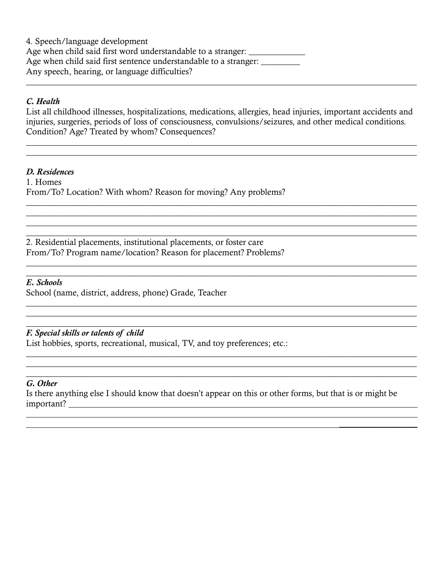4. Speech/language development Age when child said first word understandable to a stranger: \_\_\_\_\_\_\_\_\_\_\_\_\_\_\_\_\_\_\_ Age when child said first sentence understandable to a stranger: \_\_\_\_\_\_\_\_\_ Any speech, hearing, or language difficulties?

## C. Health

List all childhood illnesses, hospitalizations, medications, allergies, head injuries, important accidents and injuries, surgeries, periods of loss of consciousness, convulsions/seizures, and other medical conditions. Condition? Age? Treated by whom? Consequences?

\_\_\_\_\_\_\_\_\_\_\_\_\_\_\_\_\_\_\_\_\_\_\_\_\_\_\_\_\_\_\_\_\_\_\_\_\_\_\_\_\_\_\_\_\_\_\_\_\_\_\_\_\_\_\_\_\_\_\_\_\_\_\_\_\_\_\_\_\_\_\_\_\_\_\_\_\_\_\_\_\_\_\_\_\_\_\_\_\_\_ \_\_\_\_\_\_\_\_\_\_\_\_\_\_\_\_\_\_\_\_\_\_\_\_\_\_\_\_\_\_\_\_\_\_\_\_\_\_\_\_\_\_\_\_\_\_\_\_\_\_\_\_\_\_\_\_\_\_\_\_\_\_\_\_\_\_\_\_\_\_\_\_\_\_\_\_\_\_\_\_\_\_\_\_\_\_\_\_\_\_

 $\_$  , and the set of the set of the set of the set of the set of the set of the set of the set of the set of the set of the set of the set of the set of the set of the set of the set of the set of the set of the set of th \_\_\_\_\_\_\_\_\_\_\_\_\_\_\_\_\_\_\_\_\_\_\_\_\_\_\_\_\_\_\_\_\_\_\_\_\_\_\_\_\_\_\_\_\_\_\_\_\_\_\_\_\_\_\_\_\_\_\_\_\_\_\_\_\_\_\_\_\_\_\_\_\_\_\_\_\_\_\_\_\_\_\_\_\_\_\_\_\_\_ \_\_\_\_\_\_\_\_\_\_\_\_\_\_\_\_\_\_\_\_\_\_\_\_\_\_\_\_\_\_\_\_\_\_\_\_\_\_\_\_\_\_\_\_\_\_\_\_\_\_\_\_\_\_\_\_\_\_\_\_\_\_\_\_\_\_\_\_\_\_\_\_\_\_\_\_\_\_\_\_\_\_\_\_\_\_\_\_\_\_ \_\_\_\_\_\_\_\_\_\_\_\_\_\_\_\_\_\_\_\_\_\_\_\_\_\_\_\_\_\_\_\_\_\_\_\_\_\_\_\_\_\_\_\_\_\_\_\_\_\_\_\_\_\_\_\_\_\_\_\_\_\_\_\_\_\_\_\_\_\_\_\_\_\_\_\_\_\_\_\_\_\_\_\_\_\_\_\_\_\_

\_\_\_\_\_\_\_\_\_\_\_\_\_\_\_\_\_\_\_\_\_\_\_\_\_\_\_\_\_\_\_\_\_\_\_\_\_\_\_\_\_\_\_\_\_\_\_\_\_\_\_\_\_\_\_\_\_\_\_\_\_\_\_\_\_\_\_\_\_\_\_\_\_\_\_\_\_\_\_\_\_\_\_\_\_\_\_\_\_\_

\_\_\_\_\_\_\_\_\_\_\_\_\_\_\_\_\_\_\_\_\_\_\_\_\_\_\_\_\_\_\_\_\_\_\_\_\_\_\_\_\_\_\_\_\_\_\_\_\_\_\_\_\_\_\_\_\_\_\_\_\_\_\_\_\_\_\_\_\_\_\_\_\_\_\_\_\_\_\_\_\_\_\_\_\_\_\_\_\_\_ \_\_\_\_\_\_\_\_\_\_\_\_\_\_\_\_\_\_\_\_\_\_\_\_\_\_\_\_\_\_\_\_\_\_\_\_\_\_\_\_\_\_\_\_\_\_\_\_\_\_\_\_\_\_\_\_\_\_\_\_\_\_\_\_\_\_\_\_\_\_\_\_\_\_\_\_\_\_\_\_\_\_\_\_\_\_\_\_\_\_

\_\_\_\_\_\_\_\_\_\_\_\_\_\_\_\_\_\_\_\_\_\_\_\_\_\_\_\_\_\_\_\_\_\_\_\_\_\_\_\_\_\_\_\_\_\_\_\_\_\_\_\_\_\_\_\_\_\_\_\_\_\_\_\_\_\_\_\_\_\_\_\_\_\_\_\_\_\_\_\_\_\_\_\_\_\_\_\_\_\_ \_\_\_\_\_\_\_\_\_\_\_\_\_\_\_\_\_\_\_\_\_\_\_\_\_\_\_\_\_\_\_\_\_\_\_\_\_\_\_\_\_\_\_\_\_\_\_\_\_\_\_\_\_\_\_\_\_\_\_\_\_\_\_\_\_\_\_\_\_\_\_\_\_\_\_\_\_\_\_\_\_\_\_\_\_\_\_\_\_\_ \_\_\_\_\_\_\_\_\_\_\_\_\_\_\_\_\_\_\_\_\_\_\_\_\_\_\_\_\_\_\_\_\_\_\_\_\_\_\_\_\_\_\_\_\_\_\_\_\_\_\_\_\_\_\_\_\_\_\_\_\_\_\_\_\_\_\_\_\_\_\_\_\_\_\_\_\_\_\_\_\_\_\_\_\_\_\_\_\_\_

\_\_\_\_\_\_\_\_\_\_\_\_\_\_\_\_\_\_\_\_\_\_\_\_\_\_\_\_\_\_\_\_\_\_\_\_\_\_\_\_\_\_\_\_\_\_\_\_\_\_\_\_\_\_\_\_\_\_\_\_\_\_\_\_\_\_\_\_\_\_\_\_\_\_\_\_\_\_\_\_\_\_\_\_\_\_\_\_\_\_

\_\_\_\_\_\_\_\_\_\_\_\_\_\_\_\_\_\_\_\_\_\_\_\_\_\_\_\_\_\_\_\_\_\_\_\_\_\_\_\_\_\_\_\_\_\_\_\_\_\_\_\_\_\_\_\_\_\_\_\_\_\_\_\_\_\_\_\_\_\_\_\_\_\_\_\_\_\_\_\_\_\_\_\_\_\_\_\_\_\_

### D. Residences

1. Homes From/To? Location? With whom? Reason for moving? Any problems?

2. Residential placements, institutional placements, or foster care From/To? Program name/location? Reason for placement? Problems?

### E. Schools

School (name, district, address, phone) Grade, Teacher

## F. Special skills or talents of child

List hobbies, sports, recreational, musical, TV, and toy preferences; etc.:

#### G. Other

 $\overline{a}$ 

Is there anything else I should know that doesn't appear on this or other forms, but that is or might be important?

 $\mathcal{L}_\text{max}$  , and the contract of the contract of the contract of the contract of the contract of the contract of the contract of the contract of the contract of the contract of the contract of the contract of the contr